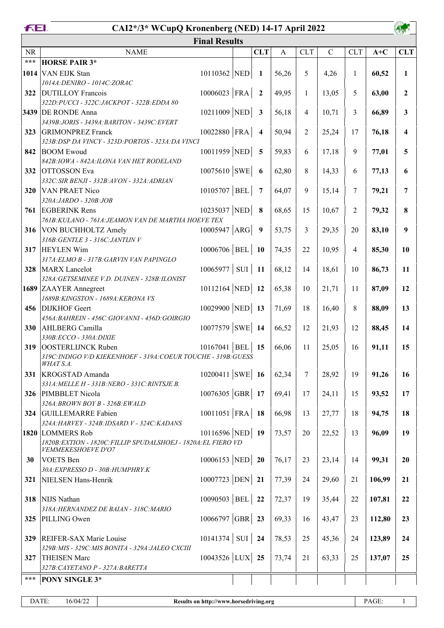| FEI.              | CAI2*/3* WCupQ Kronenberg (NED) 14-17 April 2022                                     |                     |  |                         |              |                |             |                |        |              |  |  |
|-------------------|--------------------------------------------------------------------------------------|---------------------|--|-------------------------|--------------|----------------|-------------|----------------|--------|--------------|--|--|
|                   | <b>Final Results</b>                                                                 |                     |  |                         |              |                |             |                |        |              |  |  |
| <b>NR</b>         | <b>NAME</b>                                                                          |                     |  | <b>CLT</b>              | $\mathbf{A}$ | <b>CLT</b>     | $\mathbf C$ | <b>CLT</b>     | $A+C$  | <b>CLT</b>   |  |  |
| $\star\star\star$ | <b>HORSE PAIR 3*</b>                                                                 |                     |  |                         |              |                |             |                |        |              |  |  |
| 1014              | VAN EIJK Stan                                                                        | 10110362 NED        |  | 1                       | 56,26        | 5              | 4,26        | $\mathbf{1}$   | 60,52  | $\mathbf{1}$ |  |  |
|                   | 1014A: DENIRO - 1014C: ZORAC                                                         |                     |  |                         |              |                |             |                |        |              |  |  |
| 322               | <b>DUTILLOY Francois</b>                                                             | $10006023$ FRA      |  | $\overline{2}$          | 49,95        | $\mathbf{1}$   | 13,05       | 5              | 63,00  | $\mathbf{2}$ |  |  |
|                   | 322D: PUCCI - 322C: JACKPOT - 322B: EDDA 80<br>3439 DE RONDE Anna                    | $10211009$ NED      |  | $\mathbf{3}$            | 56,18        | $\overline{4}$ | 10,71       | 3              | 66,89  | 3            |  |  |
|                   | 3439B: JORIS - 3439A: BARITON - 3439C: EVERT                                         |                     |  |                         |              |                |             |                |        |              |  |  |
| 323               | <b>GRIMONPREZ</b> Franck                                                             | $10022880$ FRA      |  | $\overline{\mathbf{4}}$ | 50,94        | $\overline{2}$ | 25,24       | 17             | 76,18  | 4            |  |  |
|                   | 323B:DSP DA VINCY - 323D:PORTOS - 323A:DA VINCI                                      |                     |  |                         |              |                |             |                |        |              |  |  |
| 842               | <b>BOOM Ewoud</b>                                                                    | 10011959 NED        |  | 5                       | 59,83        | 6              | 17,18       | 9              | 77,01  | 5            |  |  |
|                   | 842B: IOWA - 842A: ILONA VAN HET RODELAND                                            |                     |  |                         |              |                |             |                |        |              |  |  |
| 332               | <b>OTTOSSON</b> Eva                                                                  | $10075610$ SWE      |  | 6                       | 62,80        | 8              | 14,33       | 6              | 77,13  | 6            |  |  |
|                   | 332C: SIR BENJI - 332B: AVON - 332A: ADRIAN                                          |                     |  |                         |              |                |             |                |        |              |  |  |
| 320               | <b>VAN PRAET Nico</b><br>320A:JARDO - 320B:JOB                                       | 10105707   BEL      |  | $\overline{7}$          | 64,07        | 9              | 15,14       | 7              | 79,21  | 7            |  |  |
| 761               | <b>EGBERINK</b> Rens                                                                 | 10235037 NED        |  | 8                       | 68,65        | 15             | 10,67       | $\overline{2}$ | 79,32  | 8            |  |  |
|                   | 761B: KULANO - 761A: JEAMON VAN DE MARTHA HOEVE TEX                                  |                     |  |                         |              |                |             |                |        |              |  |  |
| 316               | VON BUCHHOLTZ Amely                                                                  | $10005947$ ARG      |  | 9                       | 53,75        | 3              | 29,35       | 20             | 83,10  | 9            |  |  |
|                   | 316B: GENTLE 3 - 316C: JANTIJN V                                                     |                     |  |                         |              |                |             |                |        |              |  |  |
| 317               | <b>HEYLEN Wim</b>                                                                    | $10006706$ BEL      |  | <b>10</b>               | 74,35        | 22             | 10,95       | 4              | 85,30  | 10           |  |  |
| 328               | 317A: ELMO B - 317B: GARVIN VAN PAPINGLO<br>MARX Lancelot                            | $10065977$ SUI      |  | <b>11</b>               | 68,12        | 14             | 18,61       | 10             | 86,73  | 11           |  |  |
|                   | 328A: GETSEMINEE V.D. DUINEN - 328B: ILONIST                                         |                     |  |                         |              |                |             |                |        |              |  |  |
|                   | 1689 ZAAYER Annegreet                                                                | $10112164$ NED      |  | <b>12</b>               | 65,38        | 10             | 21,71       | 11             | 87,09  | 12           |  |  |
|                   | 1689B: KINGSTON - 1689A: KERONA VS                                                   |                     |  |                         |              |                |             |                |        |              |  |  |
| 456               | <b>DIJKHOF</b> Geert                                                                 | 10029900 NED 13     |  |                         | 71,69        | 18             | 16,40       | 8              | 88,09  | 13           |  |  |
|                   | 456A: BAHREIN - 456C: GIOVANNI - 456D: GOIRGIO                                       |                     |  |                         |              |                |             |                |        |              |  |  |
| 330               | AHLBERG Camilla<br>330B:ECCO - 330A: DIXIE                                           | $10077579$ SWE 14   |  |                         | 66,52        | 12             | 21,93       | 12             | 88,45  | 14           |  |  |
| 319               | OOSTERLIJNCK Ruben                                                                   | 10167041   BEL      |  | 15                      | 66,06        | 11             | 25,05       | 16             | 91,11  | 15           |  |  |
|                   | 319C:INDIGO V/D KIEKENHOEF - 319A: COEUR TOUCHE - 319B: GUESS                        |                     |  |                         |              |                |             |                |        |              |  |  |
|                   | WHAT S.A.                                                                            |                     |  |                         |              |                |             |                |        |              |  |  |
| 331               | <b>KROGSTAD</b> Amanda<br>331A: MELLE H - 331B: NERO - 331C: RINTSJE B.              | $10200411$ SWE 16   |  |                         | 62,34        | 7              | 28,92       | 19             | 91,26  | 16           |  |  |
| 326               | PIMBBLET Nicola                                                                      | $10076305$ GBR 17   |  |                         | 69,41        | 17             | 24,11       | 15             | 93,52  | 17           |  |  |
|                   | 326A:BROWN BOY B - 326B:EWALD                                                        |                     |  |                         |              |                |             |                |        |              |  |  |
| 324               | GUILLEMARRE Fabien                                                                   | $10011051$ FRA 18   |  |                         | 66,98        | 13             | 27,77       | 18             | 94,75  | 18           |  |  |
|                   | 324A: HARVEY - 324B: IDSARD. V - 324C: KADANS                                        |                     |  |                         |              |                |             |                |        |              |  |  |
|                   | 1820 LOMMERS Rob                                                                     | $10116596$ NED 19   |  |                         | 73,57        | 20             | 22,52       | 13             | 96,09  | 19           |  |  |
|                   | 1820B: EXTION - 1820C: FILLIP SPUDALSHOEJ - 1820A: EL FIERO VD<br>VEMMEKESHOEVE D'O7 |                     |  |                         |              |                |             |                |        |              |  |  |
| 30                | VOETS Ben                                                                            | $10006153$ NED 20   |  |                         | 76,17        | 23             | 23,14       | 14             | 99,31  | 20           |  |  |
|                   | 30A: EXPRESSO D - 30B: HUMPHRY.K                                                     |                     |  |                         |              |                |             |                |        |              |  |  |
| 321               | NIELSEN Hans-Henrik                                                                  | $10007723$ DEN 21   |  |                         | 77,39        | 24             | 29,60       | 21             | 106,99 | 21           |  |  |
|                   |                                                                                      | 10090503   BEL   22 |  |                         |              |                |             |                |        |              |  |  |
| 318               | NIJS Nathan<br>318A: HERNANDEZ DE BAIAN - 318C: MARIO                                |                     |  |                         | 72,37        | 19             | 35,44       | 22             | 107,81 | 22           |  |  |
| 325               | PILLING Owen                                                                         | $10066797$ GBR 23   |  |                         | 69,33        | 16             | 43,47       | 23             | 112,80 | 23           |  |  |
|                   |                                                                                      |                     |  |                         |              |                |             |                |        |              |  |  |
| 329               | REIFER-SAX Marie Louise                                                              | $10141374$ SUI 24   |  |                         | 78,53        | 25             | 45,36       | 24             | 123,89 | 24           |  |  |
|                   | 329B: MIS - 329C: MIS BONITA - 329A: JALEO CXCIII                                    |                     |  |                         |              |                |             |                |        |              |  |  |
| 327               | THEISEN Marc                                                                         | 10043526 LUX 25     |  |                         | 73,74        | 21             | 63,33       | 25             | 137,07 | 25           |  |  |
| ***               | 327B: CAYETANO P - 327A: BARETTA                                                     |                     |  |                         |              |                |             |                |        |              |  |  |
|                   | <b>PONY SINGLE 3*</b>                                                                |                     |  |                         |              |                |             |                |        |              |  |  |

DATE:  $16/04/22$   $\overline{1}$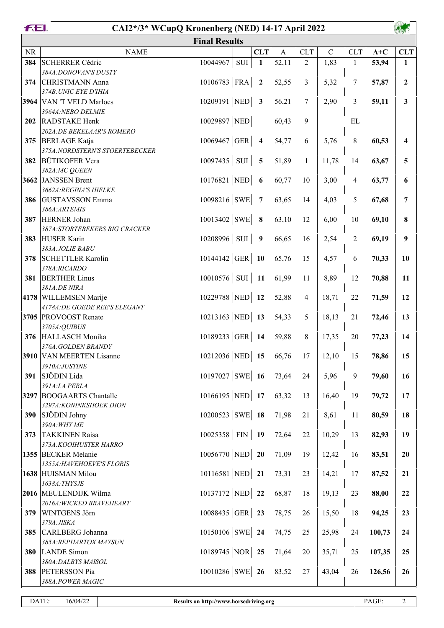|            | FEI.<br>CAI2*/3* WCupQ Kronenberg (NED) 14-17 April 2022 |                     |           |            |                |                |               |                |        |                  |  |
|------------|----------------------------------------------------------|---------------------|-----------|------------|----------------|----------------|---------------|----------------|--------|------------------|--|
|            | <b>Final Results</b>                                     |                     |           |            |                |                |               |                |        |                  |  |
| <b>NR</b>  | <b>NAME</b>                                              |                     |           | <b>CLT</b> | $\overline{A}$ | <b>CLT</b>     | $\mathcal{C}$ | <b>CLT</b>     | $A+C$  | <b>CLT</b>       |  |
| 384        | <b>SCHERRER Cédric</b>                                   | 10044967            | $\rm SUI$ | 1          | 52,11          | $\overline{2}$ | 1,83          | $\mathbf{1}$   | 53,94  | 1                |  |
|            | 384A: DONOVAN'S DUSTY                                    |                     |           |            |                |                |               |                |        |                  |  |
| 374        | CHRISTMANN Anna                                          | $10106783$ FRA   2  |           |            | 52,55          | 3              | 5,32          | $\tau$         | 57,87  | $\boldsymbol{2}$ |  |
|            | 374B: UNIC EYE D'IHIA                                    |                     |           |            |                |                |               |                |        |                  |  |
|            | 3964 VAN 'T VELD Marloes<br>3964A:NEBO DELMIE            | 10209191 NED 3      |           |            | 56,21          | 7              | 2,90          | 3              | 59,11  | $\mathbf{3}$     |  |
| 202        | RADSTAKE Henk                                            | 10029897 NED        |           |            | 60,43          | 9              |               | EL             |        |                  |  |
|            | 202A: DE BEKELAAR'S ROMERO                               |                     |           |            |                |                |               |                |        |                  |  |
| 375        | <b>BERLAGE</b> Katja                                     | $10069467  GER $ 4  |           |            | 54,77          | 6              | 5,76          | 8              | 60,53  | 4                |  |
|            | 375A: NORDSTERN'S STOERTEBECKER                          |                     |           |            |                |                |               |                |        |                  |  |
| 382        | <b>BÜTIKOFER Vera</b>                                    | $10097435$ SUI 5    |           |            | 51,89          | $\mathbf{1}$   | 11,78         | 14             | 63,67  | 5                |  |
|            | 382A:MC QUEEN                                            |                     |           |            |                |                |               |                |        |                  |  |
|            | 3662 JANSSEN Brent                                       | 10176821 NED 6      |           |            | 60,77          | 10             | 3,00          | $\overline{4}$ | 63,77  | 6                |  |
|            | 3662A: REGINA'S HIELKE                                   |                     |           |            |                |                |               |                |        |                  |  |
| 386        | <b>GUSTAVSSON</b> Emma<br>386A: ARTEMIS                  | $10098216$ SWE 7    |           |            | 63,65          | 14             | 4,03          | 5              | 67,68  | 7                |  |
| 387        | <b>HERNER Johan</b>                                      | $10013402$ SWE 8    |           |            | 63,10          | 12             | 6,00          | 10             | 69,10  | 8                |  |
|            | 387A:STORTEBEKERS BIG CRACKER                            |                     |           |            |                |                |               |                |        |                  |  |
| 383        | <b>HUSER Karin</b>                                       | $10208996$ SUI 9    |           |            | 66,65          | 16             | 2,54          | $\overline{2}$ | 69,19  | 9                |  |
|            | 383A: JOLIE BABU                                         |                     |           |            |                |                |               |                |        |                  |  |
| 378        | <b>SCHETTLER Karolin</b>                                 | $10144142$ GER 10   |           |            | 65,76          | 15             | 4,57          | 6              | 70,33  | 10               |  |
|            | 378A:RICARDO                                             |                     |           |            |                |                |               |                |        |                  |  |
| 381        | <b>BERTHER Linus</b>                                     | $10010576$ SUI 11   |           |            | 61,99          | 11             | 8,89          | 12             | 70,88  | 11               |  |
|            | 381A:DE NIRA                                             |                     |           |            |                |                |               |                |        |                  |  |
|            | 4178 WILLEMSEN Marije                                    | 10229788 NED 12     |           |            | 52,88          | $\overline{4}$ | 18,71         | 22             | 71,59  | 12               |  |
|            | 4178A: DE GOEDE REE'S ELEGANT<br>3705 PROVOOST Renate    |                     |           |            |                |                |               |                |        |                  |  |
|            | 3705A: QUIBUS                                            | 10213163 NED 13     |           |            | 54,33          | 5              | 18,13         | 21             | 72,46  | 13               |  |
| 376        | <b>HALLASCH Monika</b>                                   | 10189233 GER 14     |           |            | 59,88          | 8              | 17,35         | 20             | 77,23  | 14               |  |
|            | 376A: GOLDEN BRANDY                                      |                     |           |            |                |                |               |                |        |                  |  |
|            | 3910 VAN MEERTEN Lisanne                                 | 10212036 NED 15     |           |            | 66,76          | 17             | 12,10         | 15             | 78,86  | 15               |  |
|            | 3910A:JUSTINE                                            |                     |           |            |                |                |               |                |        |                  |  |
| 391        | SJÖDIN Lida                                              | $10197027$ SWE 16   |           |            | 73,64          | 24             | 5,96          | 9              | 79,60  | 16               |  |
|            | 391A:LA PERLA                                            |                     |           |            |                |                |               |                |        |                  |  |
|            | 3297 BOOGAARTS Chantalle                                 | 10166195 NED 17     |           |            | 63,32          | 13             | 16,40         | 19             | 79,72  | 17               |  |
|            | 3297A: KONINKSHOEK DION                                  |                     |           |            |                |                |               |                |        |                  |  |
| 390        | SJÖDIN Johny<br>390A: WHY ME                             | $10200523$ SWE 18   |           |            | 71,98          | 21             | 8,61          | 11             | 80,59  | 18               |  |
| 373        | <b>TAKKINEN Raisa</b>                                    | $10025358$ FIN   19 |           |            | 72,64          | 22             | 10,29         | 13             | 82,93  | 19               |  |
|            | 373A: KOOIHUSTER HARRO                                   |                     |           |            |                |                |               |                |        |                  |  |
|            | 1355 BECKER Melanie                                      | $10056770$ NED 20   |           |            | 71,09          | 19             | 12,42         | 16             | 83,51  | 20               |  |
|            | 1355A: HAVEHOEVE'S FLORIS                                |                     |           |            |                |                |               |                |        |                  |  |
|            | 1638 HUISMAN Milou                                       | 10116581 NED 21     |           |            | 73,31          | 23             | 14,21         | 17             | 87,52  | 21               |  |
|            | 1638A: THYSJE                                            |                     |           |            |                |                |               |                |        |                  |  |
|            | 2016 MEULENDIJK Wilma                                    | 10137172 NED 22     |           |            | 68,87          | 18             | 19,13         | 23             | 88,00  | 22               |  |
|            | 2016A: WICKED BRAVEHEART                                 |                     |           |            |                |                |               |                |        |                  |  |
| 379        | WINTGENS Jörn<br>379A: JISKA                             | $10088435$ GER 23   |           |            | 78,75          | 26             | 15,50         | 18             | 94,25  | 23               |  |
| 385        | CARLBERG Johanna                                         | $10150106$ SWE 24   |           |            | 74,75          | 25             | 25,98         | 24             | 100,73 | 24               |  |
|            | 385A: REPHARTOX MAYSUN                                   |                     |           |            |                |                |               |                |        |                  |  |
| <b>380</b> | LANDE Simon                                              | 10189745 NOR 25     |           |            | 71,64          | 20             | 35,71         | 25             | 107,35 | 25               |  |
|            | 380A: DALBYS MAISOL                                      |                     |           |            |                |                |               |                |        |                  |  |
| 388        | PETERSSON Pia                                            | $10010286$ SWE 26   |           |            | 83,52          | $27\,$         | 43,04         | 26             | 126,56 | 26               |  |
|            | 388A: POWER MAGIC                                        |                     |           |            |                |                |               |                |        |                  |  |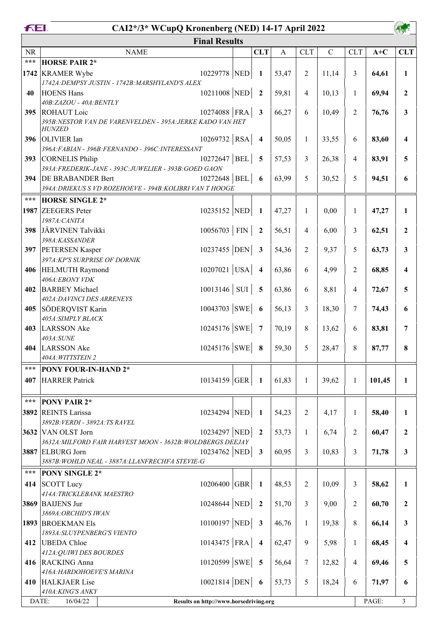|                   | FEI.<br>CAI2*/3* WCupQ Kronenberg (NED) 14-17 April 2022                                       |  |                         |              |                |             |                |        |                         |  |  |  |  |
|-------------------|------------------------------------------------------------------------------------------------|--|-------------------------|--------------|----------------|-------------|----------------|--------|-------------------------|--|--|--|--|
|                   | <b>Final Results</b>                                                                           |  |                         |              |                |             |                |        |                         |  |  |  |  |
| <b>NR</b>         | <b>NAME</b>                                                                                    |  | <b>CLT</b>              | $\mathbf{A}$ | <b>CLT</b>     | $\mathbf C$ | <b>CLT</b>     | $A+C$  | <b>CLT</b>              |  |  |  |  |
| $\star\star\star$ | <b>HORSE PAIR 2*</b>                                                                           |  |                         |              |                |             |                |        |                         |  |  |  |  |
| 1742              | 10229778 NED<br><b>KRAMER Wybe</b>                                                             |  | 1                       | 53,47        | $\overline{2}$ | 11,14       | 3              | 64,61  | $\mathbf{1}$            |  |  |  |  |
|                   | 1742A: DEMPSY JUSTIN - 1742B: MARSHYLAND'S ALEX                                                |  |                         |              |                |             |                |        |                         |  |  |  |  |
| 40                | $10211008$ NED<br><b>HOENS Hans</b>                                                            |  | $\overline{2}$          | 59,81        | $\overline{4}$ | 10,13       | $\mathbf{1}$   | 69,94  | $\mathbf{2}$            |  |  |  |  |
|                   | 40B:ZAZOU - 40A:BENTLY                                                                         |  |                         |              |                |             |                |        |                         |  |  |  |  |
| 395               | 10274088 FRA<br><b>ROHAUT</b> Loic                                                             |  | $\mathbf{3}$            | 66,27        | 6              | 10,49       | $\overline{2}$ | 76,76  | 3                       |  |  |  |  |
|                   | 395B: NESTOR VAN DE VARENVELDEN - 395A: JERKE KADO VAN HET<br><i>HUNZED</i>                    |  |                         |              |                |             |                |        |                         |  |  |  |  |
| 396               | $10269732$ RSA<br><b>OLIVIER</b> Ian                                                           |  | $\overline{\mathbf{4}}$ | 50,05        | $\mathbf{1}$   | 33,55       | 6              | 83,60  | 4                       |  |  |  |  |
|                   | 396A: FABIAN - 396B: FERNANDO - 396C: INTERESSANT                                              |  |                         |              |                |             |                |        |                         |  |  |  |  |
| <b>393</b>        | $10272647$ BEL<br>CORNELIS Philip                                                              |  | 5                       | 57,53        | 3              | 26,38       | 4              | 83,91  | 5                       |  |  |  |  |
|                   | 393A: FREDERIK-JANE - 393C: JUWELIER - 393B: GOED GAON                                         |  |                         |              |                |             |                |        |                         |  |  |  |  |
| 394               | 10272648 BEL<br><b>DE BRABANDER Bert</b>                                                       |  | 6                       | 63,99        | 5              | 30,52       | 5              | 94,51  | 6                       |  |  |  |  |
|                   | 394A: DRIEKUS S VD ROZEHOEVE - 394B: KOLIBRI VAN T HOOGE                                       |  |                         |              |                |             |                |        |                         |  |  |  |  |
| $***$             | <b>HORSE SINGLE 2*</b>                                                                         |  |                         |              |                |             |                |        |                         |  |  |  |  |
| 1987              | 10235152 NED<br><b>ZEEGERS</b> Peter                                                           |  | $\mathbf{1}$            | 47,27        | 1              | 0,00        | $\mathbf{1}$   | 47,27  | 1                       |  |  |  |  |
|                   | 1987A: CANITA                                                                                  |  |                         |              |                |             |                |        |                         |  |  |  |  |
| 398               | $10056703$ FIN<br>JÄRVINEN Talvikki                                                            |  | $\overline{2}$          | 56,51        | $\overline{4}$ | 6,00        | 3              | 62,51  | $\mathbf{2}$            |  |  |  |  |
| 397               | 398A:KASSANDER<br>10237455 DEN<br><b>PETERSEN Kasper</b>                                       |  | $\mathbf{3}$            | 54,36        | $\overline{2}$ | 9,37        | 5              | 63,73  | 3                       |  |  |  |  |
|                   | 397A:KP'S SURPRISE OF DORNIK                                                                   |  |                         |              |                |             |                |        |                         |  |  |  |  |
| 406               | $10207021$ USA<br><b>HELMUTH Raymond</b>                                                       |  | $\overline{\mathbf{4}}$ | 63,86        | 6              | 4,99        | $\overline{2}$ | 68,85  |                         |  |  |  |  |
|                   | 406A:EBONY VDK                                                                                 |  |                         |              |                |             |                |        |                         |  |  |  |  |
| 402               | $10013146$ SUI 5<br><b>BARBEY</b> Michael                                                      |  |                         | 63,86        | 6              | 8,81        | $\overline{4}$ | 72,67  | 5                       |  |  |  |  |
|                   | 402A: DAVINCI DES ARRENEYS                                                                     |  |                         |              |                |             |                |        |                         |  |  |  |  |
| 405               | $10043703$ SWE<br>SÖDERQVIST Karin                                                             |  | 6                       | 56,13        | 3              | 18,30       | $\overline{7}$ | 74,43  | 6                       |  |  |  |  |
|                   | 405A: SIMPLY BLACK                                                                             |  |                         |              |                |             |                |        |                         |  |  |  |  |
| 403               | $10245176$ SWE<br>LARSSON Ake<br>403A:SUNE                                                     |  | $\overline{7}$          | 70,19        | 8              | 13,62       | 6              | 83,81  | 7                       |  |  |  |  |
|                   | $10245176$ SWE<br>404 LARSSON Ake                                                              |  | 8                       | 59,30        | 5              | 28,47       | 8              | 87,77  | 8                       |  |  |  |  |
|                   | 404A: WITTSTEIN 2                                                                              |  |                         |              |                |             |                |        |                         |  |  |  |  |
| $\star\star\star$ | <b>PONY FOUR-IN-HAND 2*</b>                                                                    |  |                         |              |                |             |                |        |                         |  |  |  |  |
| 407               | HARRER Patrick<br>10134159 GER                                                                 |  | 1                       | 61,83        | $\mathbf{1}$   | 39,62       | $\mathbf{1}$   | 101,45 | $\mathbf{1}$            |  |  |  |  |
|                   |                                                                                                |  |                         |              |                |             |                |        |                         |  |  |  |  |
| $***$             | <b>PONY PAIR 2*</b>                                                                            |  |                         |              |                |             |                |        |                         |  |  |  |  |
|                   | 10234294 NED<br>3892 REINTS Larissa                                                            |  | 1                       | 54,23        | $\overline{2}$ | 4,17        | $\mathbf{1}$   | 58,40  | 1                       |  |  |  |  |
|                   | 3892B: VERDI - 3892A: TS RAVEL                                                                 |  |                         |              |                |             |                |        |                         |  |  |  |  |
|                   | 10234297 NED<br>3632 VAN OLST Jorn                                                             |  | $\overline{2}$          | 53,73        | $\mathbf{1}$   | 6,74        | 2              | 60,47  | $\overline{2}$          |  |  |  |  |
|                   | 3632A: MILFORD FAIR HARVEST MOON - 3632B: WOLDBERGS DEEJAY<br>10234762 NED<br>3887 ELBURG Jorn |  | $\mathbf{3}$            | 60,95        | 3              | 10,83       | 3              | 71,78  | $\mathbf{3}$            |  |  |  |  |
|                   | 3887B: WOHLD NEAL - 3887A: LLANFRECHFA STEVIE-G                                                |  |                         |              |                |             |                |        |                         |  |  |  |  |
| $\star\star\star$ | <b>PONY SINGLE 2*</b>                                                                          |  |                         |              |                |             |                |        |                         |  |  |  |  |
| 414               | 10206400 GBR<br><b>SCOTT</b> Lucy                                                              |  | 1                       | 48,53        | $\overline{2}$ | 10,09       | 3              | 58,62  | $\mathbf{1}$            |  |  |  |  |
|                   | 414A: TRICKLEBANK MAESTRO                                                                      |  |                         |              |                |             |                |        |                         |  |  |  |  |
|                   | $10248644$ NED<br>3869 BAIJENS Jur                                                             |  | $\overline{2}$          | 51,70        | 3              | 9,00        | 2              | 60,70  | $\overline{2}$          |  |  |  |  |
|                   | 3869A: ORCHID'S IWAN                                                                           |  |                         |              |                |             |                |        |                         |  |  |  |  |
|                   | $10100197$ NED<br>1893 BROEKMAN Els                                                            |  | $\mathbf{3}$            | 46,76        | $\mathbf{1}$   | 19,38       | 8              | 66,14  | $\mathbf{3}$            |  |  |  |  |
|                   | 1893A: SLUYPENBERG'S VIENTO                                                                    |  |                         |              |                |             |                |        |                         |  |  |  |  |
| 412               | 10143475   FRA $ $<br><b>UBEDA</b> Chloe<br>412A: QUIWI DES BOURDES                            |  | $\overline{4}$          | 62,47        | 9              | 5,98        | $\mathbf{1}$   | 68,45  | $\overline{\mathbf{4}}$ |  |  |  |  |
|                   | $10120599$ SWE<br>416 RACKING Anna                                                             |  | $\overline{5}$          | 56,64        | $\tau$         | 12,82       | $\overline{4}$ | 69,46  | 5                       |  |  |  |  |
|                   | 416A: HARDOHOEVE'S MARINA                                                                      |  |                         |              |                |             |                |        |                         |  |  |  |  |
| 410               | $10021814   $ DEN<br>HALKJAER Lise                                                             |  | 6                       | 53,73        | 5              | 18,24       | 6              | 71,97  | 6                       |  |  |  |  |
|                   | 410A:KING'S ANKY                                                                               |  |                         |              |                |             |                |        |                         |  |  |  |  |
| DATE:             | 16/04/22<br>Results on http://www.horsedriving.org                                             |  |                         |              |                |             |                | PAGE:  | 3                       |  |  |  |  |